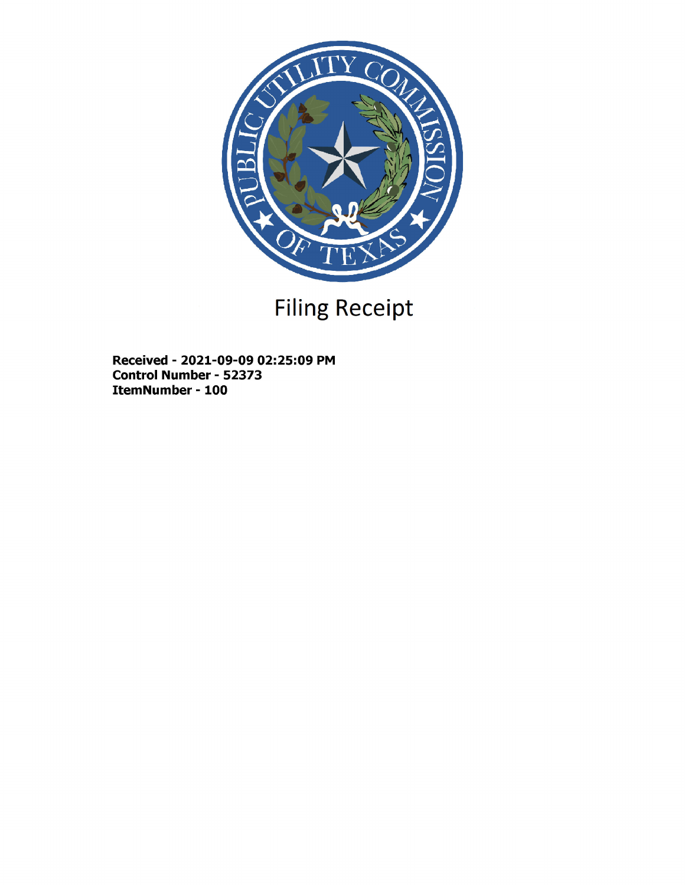

# Filing Receipt

Received - 2021-09-09 02:25:09 PM Control Number - 52373 ItemNumber - 100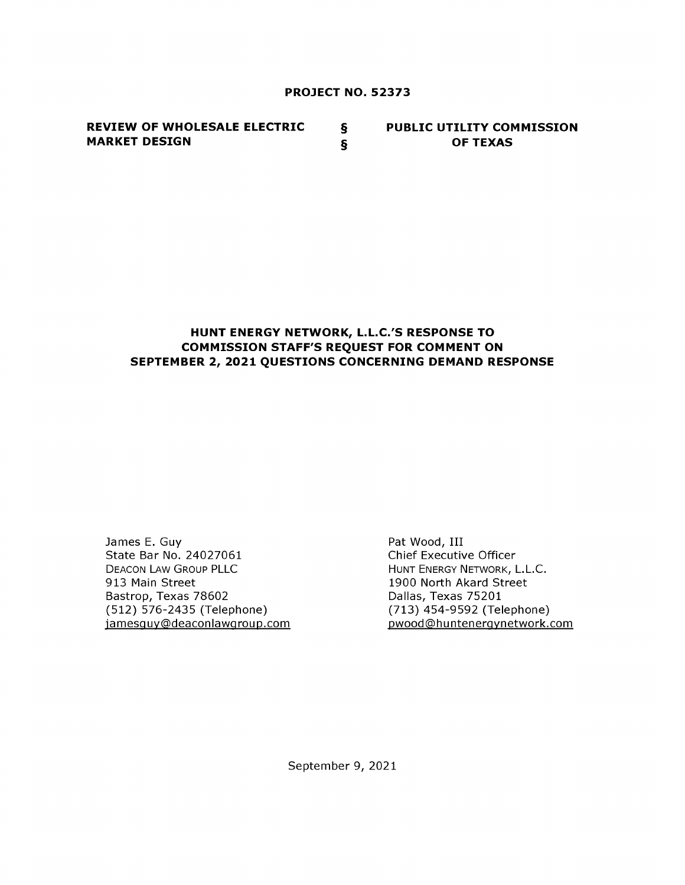#### PROJECT NO. 52373

REVIEW OF WHOLESALE ELECTRIC § MARKET DESIGN  $\S$ PUBLIC UTILITY COMMISSION OF TEXAS

# HUNT ENERGY NETWORK, L.L.C.'S RESPONSE TO COMMISSION STAFF'S REQUEST FOR COMMENT ON SEPTEMBER 2, 2021 QUESTIONS CONCERNING DEMAND RESPONSE

James E. Guy State Bar No. 24027061 DEACON LAW GROUP PLLC 913 Main Street Bastrop, Texas 78602 (512) 576-2435 (Telephone) jamesquy@deaconlawgroup.com Pat Wood, III Chief Executive Officer HUNT ENERGY NETWORK, L.L.C. 1900 North Akard Street Dallas, Texas 75201 (713) 454-9592 (Telephone) pwood@hunteneravnetwork.com

September 9, 2021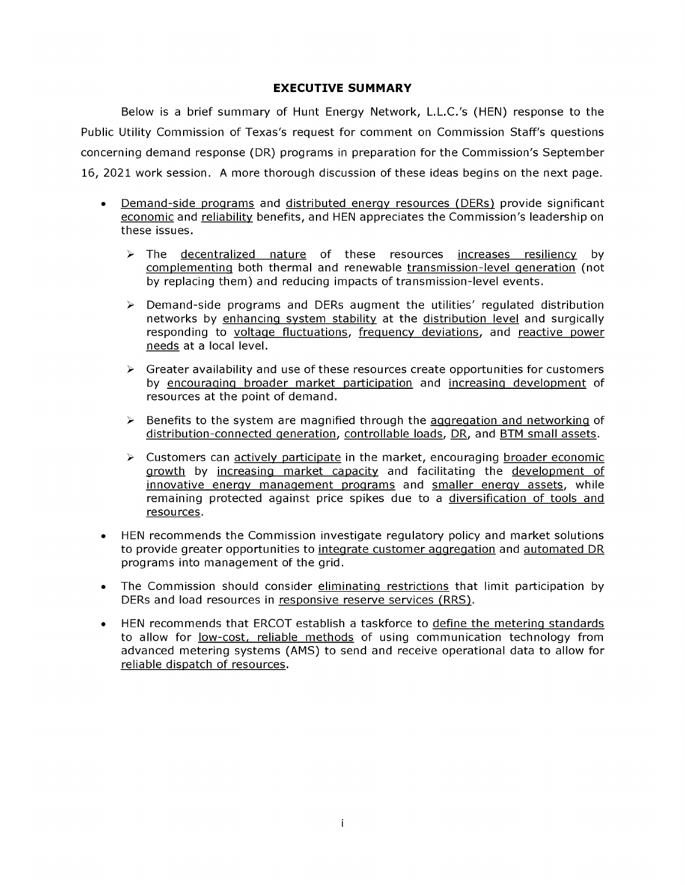#### EXECUTIVE SUMMARY

Below is a brief summary of Hunt Energy Network, L.L.C.'s (HEN) response to the Public Utility Commission of Texas's request for comment on Commission Staff's questions concerning demand response (DR) programs in preparation for the Commission's September 16, 2021 work session. A more thorough discussion of these ideas begins on the next page.

- Demand-side programs and distributed enemy resources (DERs) provide significant economic and reliability benefits, and HEN appreciates the Commission's leadership on these issues.
	- $\triangleright$  The decentralized nature of these resources increases resiliency by complementinq both thermal and renewable transmission-level generation (not by replacing them) and reducing impacts of transmission-level events.
	- $\triangleright$  Demand-side programs and DERs augment the utilities' regulated distribution networks by enhancina system stability at the distribution level and surgically responding to voltage fluctuations, frequency deviations, and reactive power needs at a local level.
	- $\triangleright$  Greater availability and use of these resources create opportunities for customers by encouraaina broader market participation and increasina development of resources at the point of demand.
	- $\triangleright$  Benefits to the system are magnified through the aggregation and networking of distribution-connected generation, controllable loads, DR, and BTM small assets.
	- $\triangleright$  Customers can actively participate in the market, encouraging broader economic arowth by increasina market capacity and facilitating the development of innovative energy management programs and smaller energy assets, while remaining protected against price spikes due to a diversification of tools and resources.
- HEN recommends the Commission investigate regulatory policy and market solutions to provide greater opportunities to intearate customer aaareaation and automated DR programs into management of the grid.
- The Commission should consider eliminating restrictions that limit participation by DERs and load resources in responsive reserve services (RRS).
- HEN recommends that ERCOT establish a taskforce to define the meterinq standards to allow for low-cost, reliable methods of using communication technology from advanced metering systems (AMS) to send and receive operational data to allow for reliable dispatch of resources.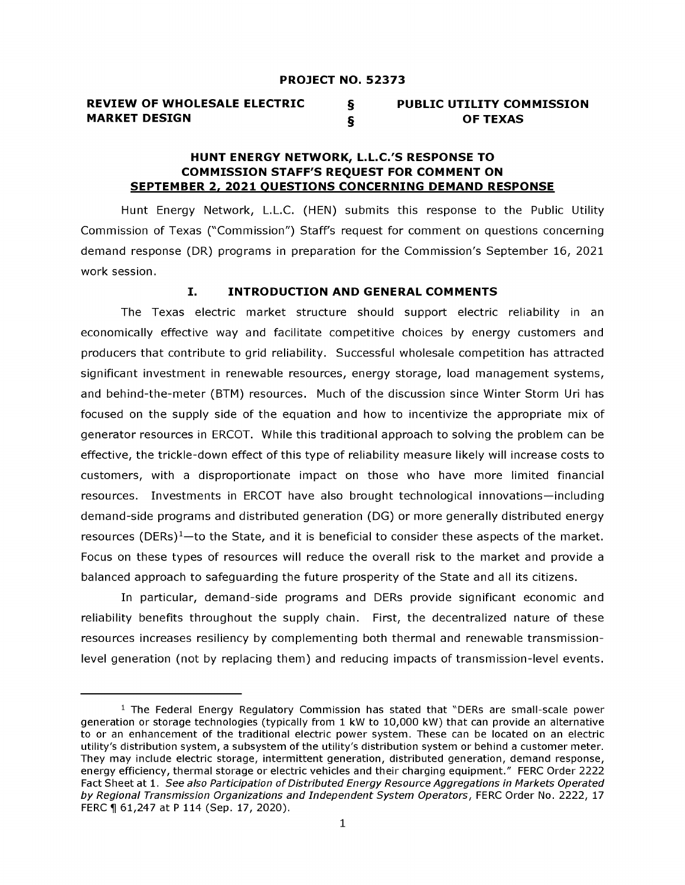#### REVIEW OF WHOLESALE ELECTRIC § MARKET DESIGN  $\S$ PUBLIC UTILITY COMMISSION OF TEXAS

## HUNT ENERGY NETWORK, L.L.C.'S RESPONSE TO COMMISSION STAFF'S REQUEST FOR COMMENT ON SEPTEMBER 2, 2021 OUESTIONS CONCERNING DEMAND RESPONSE

Hunt Energy Network, L.L.C. (HEN) submits this response to the Public Utility Commission of Texas ("Commission") Staffs request for comment on questions concerning demand response (DR) programs in preparation for the Commission's September 16, 2021 work session.

### I. INTRODUCTION AND GENERAL COMMENTS

The Texas electric market structure should support electric reliability in an economically effective way and facilitate competitive choices by energy customers and producers that contribute to grid reliability. Successful wholesale competition has attracted significant investment in renewable resources, energy storage, load management systems, and behind-the-meter (BTM) resources. Much of the discussion since Winter Storm Uri has focused on the supply side of the equation and how to incentivize the appropriate mix of generator resources in ERCOT. While this traditional approach to solving the problem can be effective, the trickle-down effect of this type of reliability measure likely will increase costs to customers, with a disproportionate impact on those who have more limited financial resources. Investments in ERCOT have also brought technological innovations-including demand-side programs and distributed generation (DG) or more generally distributed energy resources (DERs) $1$ -to the State, and it is beneficial to consider these aspects of the market. Focus on these types of resources will reduce the overall risk to the market and provide a balanced approach to safeguarding the future prosperity of the State and all its citizens.

In particular, demand-side programs and DERs provide significant economic and reliability benefits throughout the supply chain. First, the decentralized nature of these resources increases resiliency by complementing both thermal and renewable transmissionlevel generation (not by replacing them) and reducing impacts of transmission-level events.

 $1$  The Federal Energy Regulatory Commission has stated that "DERs are small-scale power generation or storage technologies (typically from 1 kW to 10,000 kW) that can provide an alternative to or an enhancement of the traditional electric power system. These can be located on an electric utility's distribution system, a subsystem of the utility's distribution system or behind a customer meter. They may include electric storage, intermittent generation, distributed generation, demand response, energy efficiency, thermal storage or electric vehicles and their charging equipment." FERC Order 2222 Fact Sheet at 1 . See *also Participation of Distributed Energy Resource Aggregations in Markets Operated by Regional Transmission Organizations and Independent System Operators , FERC* Order No . 2222 , 17 FERC ¶ 61,247 at P 114 (Sep. 17, 2020).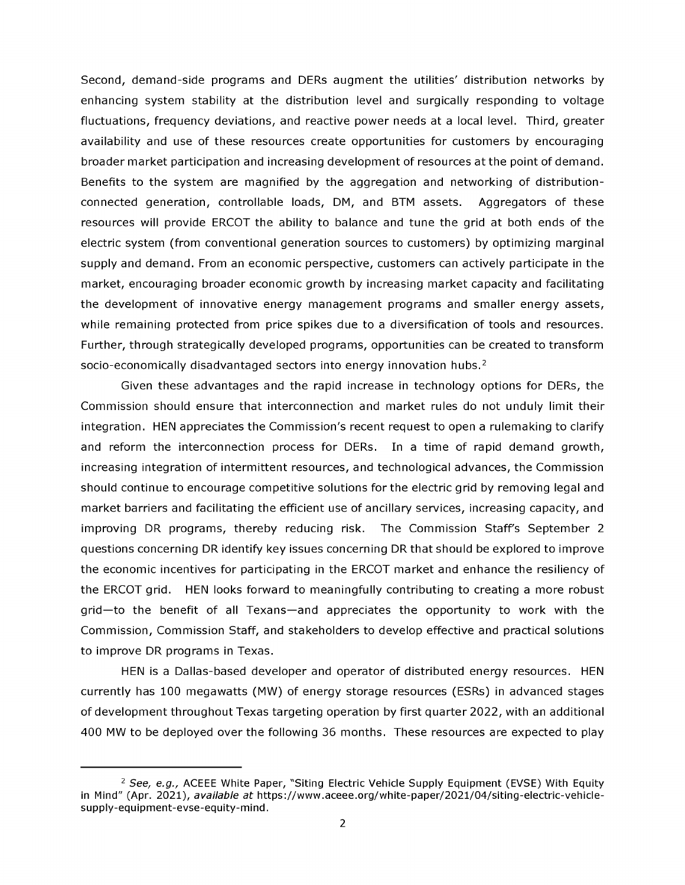Second, demand-side programs and DERs augment the utilities' distribution networks by enhancing system stability at the distribution level and surgically responding to voltage fluctuations, frequency deviations, and reactive power needs at a local level. Third, greater availability and use of these resources create opportunities for customers by encouraging broader market participation and increasing development of resources at the point of demand. Benefits to the system are magnified by the aggregation and networking of distributionconnected generation, controllable loads, DM, and BTM assets. Aggregators of these resources will provide ERCOT the ability to balance and tune the grid at both ends of the electric system (from conventional generation sources to customers) by optimizing marginal supply and demand. From an economic perspective, customers can actively participate in the market, encouraging broader economic growth by increasing market capacity and facilitating the development of innovative energy management programs and smaller energy assets, while remaining protected from price spikes due to a diversification of tools and resources. Further, through strategically developed programs, opportunities can be created to transform socio-economically disadvantaged sectors into energy innovation hubs.<sup>2</sup>

Given these advantages and the rapid increase in technology options for DERs, the Commission should ensure that interconnection and market rules do not unduly limit their integration. HEN appreciates the Commission's recent request to open a rulemaking to clarify and reform the interconnection process for DERs. In a time of rapid demand growth, increasing integration of intermittent resources, and technological advances, the Commission should continue to encourage competitive solutions forthe electric grid by removing legal and market barriers and facilitating the efficient use of ancillary services, increasing capacity, and improving DR programs, thereby reducing risk. The Commission Staff's September 2 questions concerning DR identify key issues concerning DR that should be explored to improve the economic incentives for participating in the ERCOT market and enhance the resiliency of the ERCOT grid. HEN looks forward to meaningfully contributing to creating a more robust grid-to the benefit of all Texans-and appreciates the opportunity to work with the Commission, Commission Staff, and stakeholders to develop effective and practical solutions to improve DR programs in Texas.

HEN is a Dallas-based developer and operator of distributed energy resources. HEN currently has 100 megawatts (MW) of energy storage resources (ESRs) in advanced stages of development throughout Texas targeting operation by first quarter 2022, with an additional 400 MW to be deployed over the following 36 months. These resources are expected to play

<sup>&</sup>lt;sup>2</sup> See, e.g., ACEEE White Paper, "Siting Electric Vehicle Supply Equipment (EVSE) With Equity in Mind" (Apr. 2021), *available at* https://www.aceee.org/white-paper/2021/04/siting-electric-vehiclesupply-equipment-evse-equity-mind.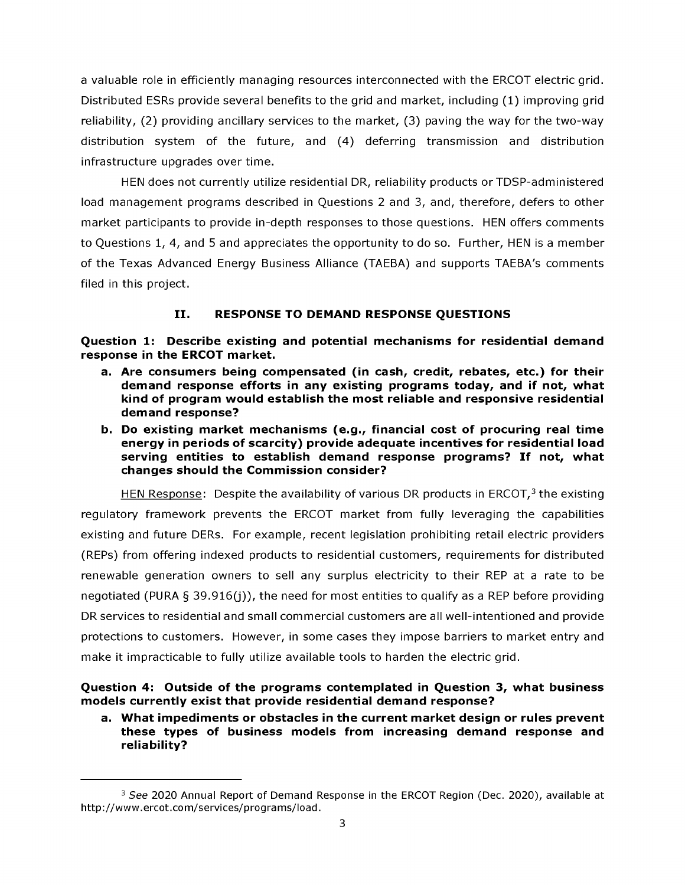a valuable role in efficiently managing resources interconnected with the ERCOT electric grid. Distributed ESRs provide several benefits to the grid and market, including (1) improving grid reliability, (2) providing ancillary services to the market, (3) paving the way for the two-way distribution system of the future, and (4) deferring transmission and distribution infrastructure upgrades over time.

HEN does not currently utilize residential DR, reliability products or TDSP-administered load management programs described in Questions 2 and 3, and, therefore, defers to other market participants to provide in-depth responses to those questions. HEN offers comments to Questions 1, 4, and 5 and appreciates the opportunity to do so. Further, HEN is a member of the Texas Advanced Energy Business Alliance (TAEBA) and supports TAEBA's comments filed in this project.

# II. RESPONSE TO DEMAND RESPONSE QUESTIONS

Question 1: Describe existing and potential mechanisms for residential demand response in the ERCOT market.

- a. Are consumers being compensated (in cash, credit, rebates, etc.) for their demand response efforts in any existing programs today, and if not, what kind of program would establish the most reliable and responsive residential demand response?
- b. Do existing market mechanisms (e.g., financial cost of procuring real time energy in periods of scarcity) provide adequate incentives for residential load serving entities to establish demand response programs? If not, what changes should the Commission consider?

HEN Response: Despite the availability of various DR products in ERCOT, $3$  the existing regulatory framework prevents the ERCOT market from fully leveraging the capabilities existing and future DERs. For example, recent legislation prohibiting retail electric providers (REPs) from offering indexed products to residential customers, requirements for distributed renewable generation owners to sell any surplus electricity to their REP at a rate to be negotiated (PURA  $\S$  39.916(j)), the need for most entities to qualify as a REP before providing DR services to residential and small commercial customers are all well-intentioned and provide protections to customers. However, in some cases they impose barriers to market entry and make it impracticable to fully utilize available tools to harden the electric grid.

Question 4: Outside of the programs contemplated in Question 3, what business models currently exist that provide residential demand response?

a. What impediments or obstacles in the current market design or rules prevent these types of business models from increasing demand response and reliability?

<sup>&</sup>lt;sup>3</sup> See 2020 Annual Report of Demand Response in the ERCOT Region (Dec. 2020), available at http://www .ercot.com/services/programs/load.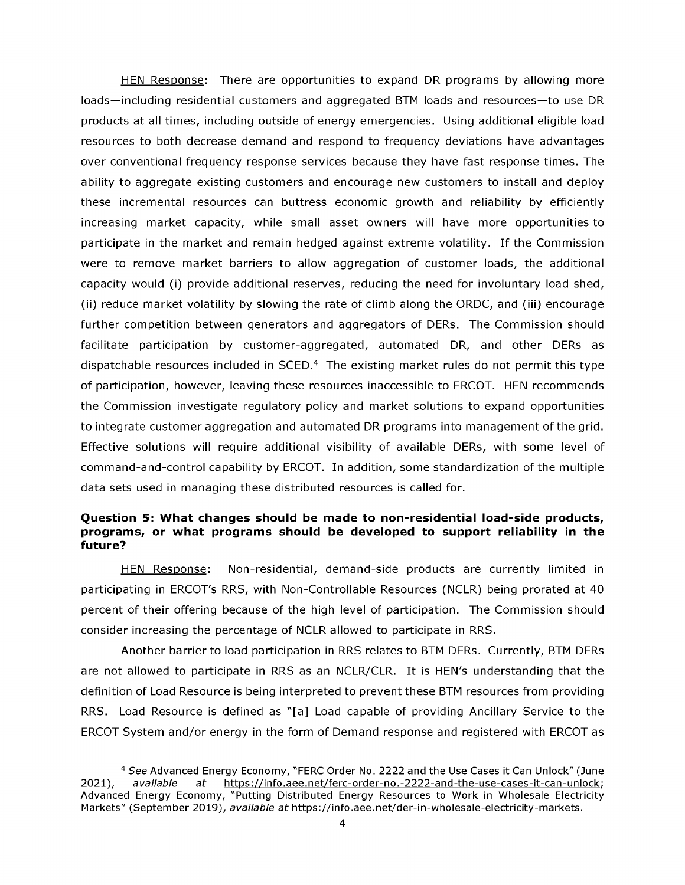HEN Response: There are opportunities to expand DR programs by allowing more loads-including residential customers and aggregated BTM loads and resources-to use DR products at all times, including outside of energy emergencies. Using additional eligible load resources to both decrease demand and respond to frequency deviations have advantages over conventional frequency response services because they have fast response times. The ability to aggregate existing customers and encourage new customers to install and deploy these incremental resources can buttress economic growth and reliability by efficiently increasing market capacity, while small asset owners will have more opportunities to participate in the market and remain hedged against extreme volatility. If the Commission were to remove market barriers to allow aggregation of customer loads, the additional capacity would (i) provide additional reserves, reducing the need for involuntary load shed, (ii) reduce market volatility by slowing the rate of climb along the ORDC, and (iii) encourage further competition between generators and aggregators of DERs. The Commission should facilitate participation by customer-aggregated, automated DR, and other DERs as dispatchable resources included in SCED.<sup>4</sup> The existing market rules do not permit this type of participation, however, leaving these resources inaccessible to ERCOT. HEN recommends the Commission investigate regulatory policy and market solutions to expand opportunities to integrate customeraggregation and automated DR programs into management of the grid. Effective solutions will require additional visibility of available DERs, with some level of command-and-control capability by ERCOT. In addition, some standardization of the multiple data sets used in managing these distributed resources is called for.

### Question 5: What changes should be made to non-residential load-side products, programs, or what programs should be developed to support reliability in the future?

HEN Response: Non-residential, demand-side products are currently limited in participating in ERCOT's RRS, with Non-Controllable Resources (NCLR) being prorated at 40 percent of their offering because of the high level of participation. The Commission should consider increasing the percentage of NCLR allowed to participate in RRS.

Another barrier to load participation in RRS relates to BTM DERs. Currently, BTM DERs are not allowed to participate in RRS as an NCLR/CLR. It is HEN's understanding that the definition of Load Resource is being interpreted to prevent these BTM resources from providing RRS. Load Resource is defined as "[a] Load capable of providing Ancillary Service to the ERCOT System and/or energy in the form of Demand response and registered with ERCOT as

<sup>4</sup> See Advanced Energy Economy, "FERC Order No. 2222 and the Use Cases it Can Unlock" (June available at https://info.aee.net/ferc-order-no.-2222-and-the-use-cases-it-can-unlock: 2021), *available at* https://info.aee.net/ferc-order-no.-2222-and-the-use-cases-it-can-unlock; Advanced Energy Economy, "Putting Distributed Energy Resources to Work in Wholesale Electricity Markets" (September 2019), *available at* https://info.aee.net/der-in-wholesale-electricity-markets.